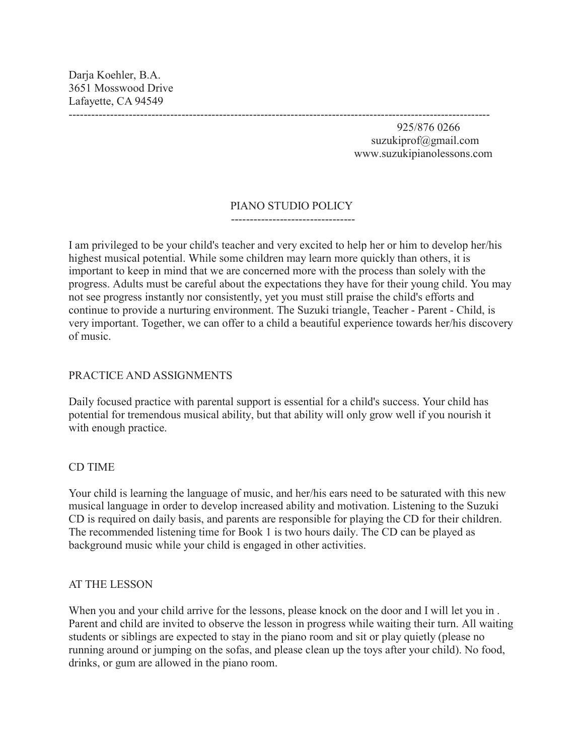Darja Koehler, B.A. 3651 Mosswood Drive Lafayette, CA 94549 ----------------------------------------------------------------------------------------------------------------

 925/876 0266 suzukiprof@gmail.com www.suzukipianolessons.com

#### PIANO STUDIO POLICY ---------------------------------

I am privileged to be your child's teacher and very excited to help her or him to develop her/his highest musical potential. While some children may learn more quickly than others, it is important to keep in mind that we are concerned more with the process than solely with the progress. Adults must be careful about the expectations they have for their young child. You may not see progress instantly nor consistently, yet you must still praise the child's efforts and continue to provide a nurturing environment. The Suzuki triangle, Teacher - Parent - Child, is very important. Together, we can offer to a child a beautiful experience towards her/his discovery of music.

## PRACTICE AND ASSIGNMENTS

Daily focused practice with parental support is essential for a child's success. Your child has potential for tremendous musical ability, but that ability will only grow well if you nourish it with enough practice.

# CD TIME

Your child is learning the language of music, and her/his ears need to be saturated with this new musical language in order to develop increased ability and motivation. Listening to the Suzuki CD is required on daily basis, and parents are responsible for playing the CD for their children. The recommended listening time for Book 1 is two hours daily. The CD can be played as background music while your child is engaged in other activities.

## AT THE LESSON

When you and your child arrive for the lessons, please knock on the door and I will let you in . Parent and child are invited to observe the lesson in progress while waiting their turn. All waiting students or siblings are expected to stay in the piano room and sit or play quietly (please no running around or jumping on the sofas, and please clean up the toys after your child). No food, drinks, or gum are allowed in the piano room.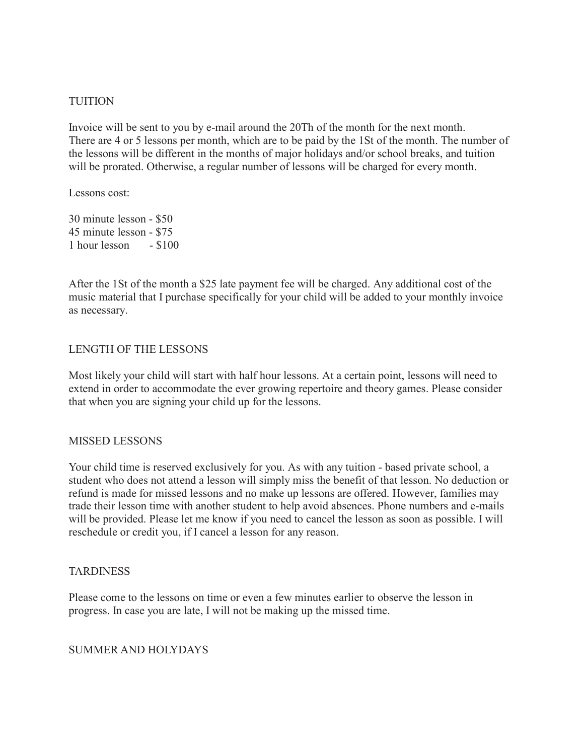## TUITION

Invoice will be sent to you by e-mail around the 20Th of the month for the next month. There are 4 or 5 lessons per month, which are to be paid by the 1St of the month. The number of the lessons will be different in the months of major holidays and/or school breaks, and tuition will be prorated. Otherwise, a regular number of lessons will be charged for every month.

Lessons cost:

30 minute lesson - \$50 45 minute lesson - \$75 1 hour lesson - \$100

After the 1St of the month a \$25 late payment fee will be charged. Any additional cost of the music material that I purchase specifically for your child will be added to your monthly invoice as necessary.

#### LENGTH OF THE LESSONS

Most likely your child will start with half hour lessons. At a certain point, lessons will need to extend in order to accommodate the ever growing repertoire and theory games. Please consider that when you are signing your child up for the lessons.

#### MISSED LESSONS

Your child time is reserved exclusively for you. As with any tuition - based private school, a student who does not attend a lesson will simply miss the benefit of that lesson. No deduction or refund is made for missed lessons and no make up lessons are offered. However, families may trade their lesson time with another student to help avoid absences. Phone numbers and e-mails will be provided. Please let me know if you need to cancel the lesson as soon as possible. I will reschedule or credit you, if I cancel a lesson for any reason.

#### **TARDINESS**

Please come to the lessons on time or even a few minutes earlier to observe the lesson in progress. In case you are late, I will not be making up the missed time.

### SUMMER AND HOLYDAYS